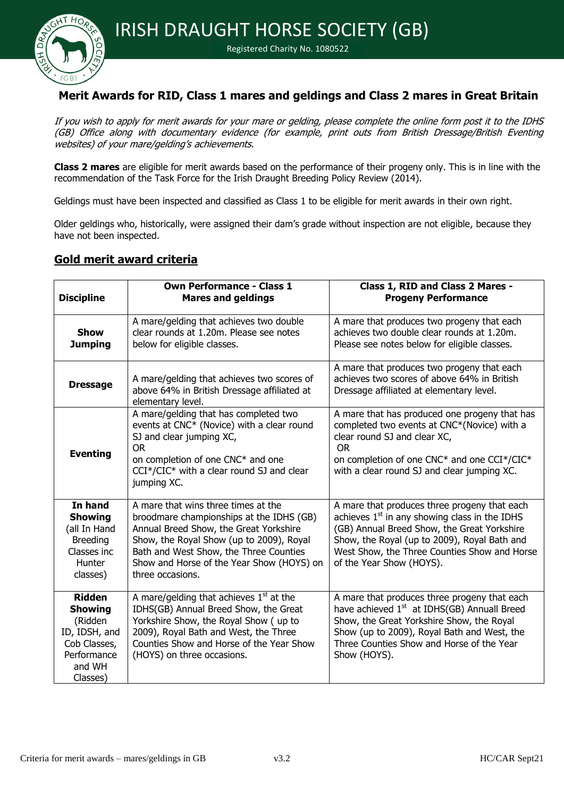

#### Registered Charity No. 1080522

### **Merit Awards for RID, Class 1 mares and geldings and Class 2 mares in Great Britain**

If you wish to apply for merit awards for your mare or gelding, please complete the online form post it to the IDHS (GB) Office along with documentary evidence (for example, print outs from British Dressage/British Eventing websites) of your mare/gelding's achievements.

**Class 2 mares** are eligible for merit awards based on the performance of their progeny only. This is in line with the recommendation of the Task Force for the Irish Draught Breeding Policy Review (2014).

Geldings must have been inspected and classified as Class 1 to be eligible for merit awards in their own right.

Older geldings who, historically, were assigned their dam's grade without inspection are not eligible, because they have not been inspected.

### **Gold merit award criteria**

| <b>Discipline</b>                                                                                                | <b>Own Performance - Class 1</b><br><b>Mares and geldings</b>                                                                                                                                                                                                                    | Class 1, RID and Class 2 Mares -<br><b>Progeny Performance</b>                                                                                                                                                                                                                       |
|------------------------------------------------------------------------------------------------------------------|----------------------------------------------------------------------------------------------------------------------------------------------------------------------------------------------------------------------------------------------------------------------------------|--------------------------------------------------------------------------------------------------------------------------------------------------------------------------------------------------------------------------------------------------------------------------------------|
| <b>Show</b><br><b>Jumping</b>                                                                                    | A mare/gelding that achieves two double<br>clear rounds at 1.20m. Please see notes<br>below for eligible classes.                                                                                                                                                                | A mare that produces two progeny that each<br>achieves two double clear rounds at 1.20m.<br>Please see notes below for eligible classes.                                                                                                                                             |
| <b>Dressage</b>                                                                                                  | A mare/gelding that achieves two scores of<br>above 64% in British Dressage affiliated at<br>elementary level.                                                                                                                                                                   | A mare that produces two progeny that each<br>achieves two scores of above 64% in British<br>Dressage affiliated at elementary level.                                                                                                                                                |
| <b>Eventing</b>                                                                                                  | A mare/gelding that has completed two<br>events at CNC* (Novice) with a clear round<br>SJ and clear jumping XC,<br><b>OR</b><br>on completion of one CNC* and one<br>CCI*/CIC* with a clear round SJ and clear<br>jumping XC.                                                    | A mare that has produced one progeny that has<br>completed two events at CNC*(Novice) with a<br>clear round SJ and clear XC,<br><b>OR</b><br>on completion of one CNC* and one CCI*/CIC*<br>with a clear round SJ and clear jumping XC.                                              |
| In hand<br><b>Showing</b><br>(all In Hand<br><b>Breeding</b><br>Classes inc<br>Hunter<br>classes)                | A mare that wins three times at the<br>broodmare championships at the IDHS (GB)<br>Annual Breed Show, the Great Yorkshire<br>Show, the Royal Show (up to 2009), Royal<br>Bath and West Show, the Three Counties<br>Show and Horse of the Year Show (HOYS) on<br>three occasions. | A mare that produces three progeny that each<br>achieves 1 <sup>st</sup> in any showing class in the IDHS<br>(GB) Annual Breed Show, the Great Yorkshire<br>Show, the Royal (up to 2009), Royal Bath and<br>West Show, the Three Counties Show and Horse<br>of the Year Show (HOYS). |
| <b>Ridden</b><br><b>Showing</b><br>(Ridden<br>ID, IDSH, and<br>Cob Classes,<br>Performance<br>and WH<br>Classes) | A mare/gelding that achieves $1st$ at the<br>IDHS(GB) Annual Breed Show, the Great<br>Yorkshire Show, the Royal Show (up to<br>2009), Royal Bath and West, the Three<br>Counties Show and Horse of the Year Show<br>(HOYS) on three occasions.                                   | A mare that produces three progeny that each<br>have achieved 1 <sup>st</sup> at IDHS(GB) Annuall Breed<br>Show, the Great Yorkshire Show, the Royal<br>Show (up to 2009), Royal Bath and West, the<br>Three Counties Show and Horse of the Year<br>Show (HOYS).                     |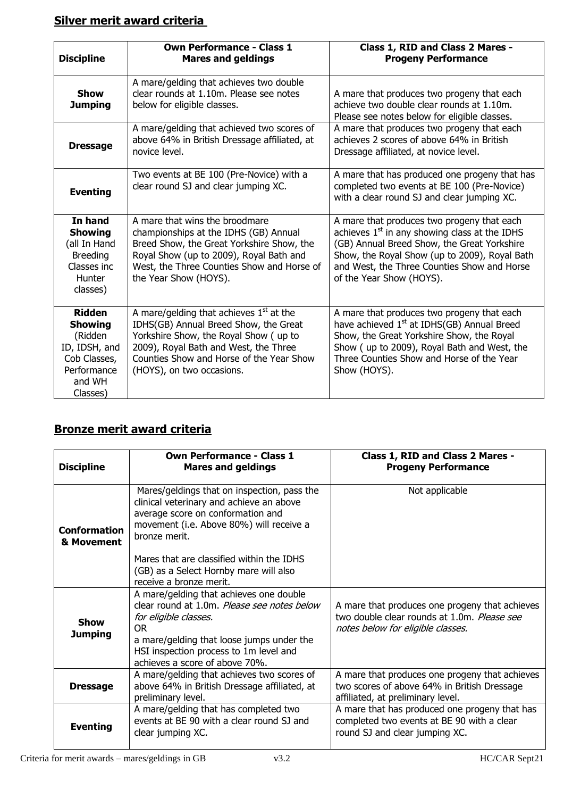# **Silver merit award criteria**

| <b>Discipline</b>                                                                                                | <b>Own Performance - Class 1</b><br><b>Mares and geldings</b>                                                                                                                                                                                 | Class 1, RID and Class 2 Mares -<br><b>Progeny Performance</b>                                                                                                                                                                                                           |
|------------------------------------------------------------------------------------------------------------------|-----------------------------------------------------------------------------------------------------------------------------------------------------------------------------------------------------------------------------------------------|--------------------------------------------------------------------------------------------------------------------------------------------------------------------------------------------------------------------------------------------------------------------------|
| <b>Show</b><br><b>Jumping</b>                                                                                    | A mare/gelding that achieves two double<br>clear rounds at 1.10m. Please see notes<br>below for eligible classes.                                                                                                                             | A mare that produces two progeny that each<br>achieve two double clear rounds at 1.10m.<br>Please see notes below for eligible classes.                                                                                                                                  |
| <b>Dressage</b>                                                                                                  | A mare/gelding that achieved two scores of<br>above 64% in British Dressage affiliated, at<br>novice level.                                                                                                                                   | A mare that produces two progeny that each<br>achieves 2 scores of above 64% in British<br>Dressage affiliated, at novice level.                                                                                                                                         |
| <b>Eventing</b>                                                                                                  | Two events at BE 100 (Pre-Novice) with a<br>clear round SJ and clear jumping XC.                                                                                                                                                              | A mare that has produced one progeny that has<br>completed two events at BE 100 (Pre-Novice)<br>with a clear round SJ and clear jumping XC.                                                                                                                              |
| In hand<br><b>Showing</b><br>(all In Hand<br><b>Breeding</b><br>Classes inc.<br><b>Hunter</b><br>classes)        | A mare that wins the broodmare<br>championships at the IDHS (GB) Annual<br>Breed Show, the Great Yorkshire Show, the<br>Royal Show (up to 2009), Royal Bath and<br>West, the Three Counties Show and Horse of<br>the Year Show (HOYS).        | A mare that produces two progeny that each<br>achieves $1st$ in any showing class at the IDHS<br>(GB) Annual Breed Show, the Great Yorkshire<br>Show, the Royal Show (up to 2009), Royal Bath<br>and West, the Three Counties Show and Horse<br>of the Year Show (HOYS). |
| <b>Ridden</b><br><b>Showing</b><br>(Ridden<br>ID, IDSH, and<br>Cob Classes,<br>Performance<br>and WH<br>Classes) | A mare/gelding that achieves $1st$ at the<br>IDHS(GB) Annual Breed Show, the Great<br>Yorkshire Show, the Royal Show (up to<br>2009), Royal Bath and West, the Three<br>Counties Show and Horse of the Year Show<br>(HOYS), on two occasions. | A mare that produces two progeny that each<br>have achieved 1 <sup>st</sup> at IDHS(GB) Annual Breed<br>Show, the Great Yorkshire Show, the Royal<br>Show (up to 2009), Royal Bath and West, the<br>Three Counties Show and Horse of the Year<br>Show (HOYS).            |

# **Bronze merit award criteria**

| <b>Discipline</b>                 | <b>Own Performance - Class 1</b><br><b>Mares and geldings</b>                                                                                                                                                                                   | Class 1, RID and Class 2 Mares -<br><b>Progeny Performance</b>                                                                     |
|-----------------------------------|-------------------------------------------------------------------------------------------------------------------------------------------------------------------------------------------------------------------------------------------------|------------------------------------------------------------------------------------------------------------------------------------|
| <b>Conformation</b><br>& Movement | Mares/geldings that on inspection, pass the<br>clinical veterinary and achieve an above<br>average score on conformation and<br>movement (i.e. Above 80%) will receive a<br>bronze merit.                                                       | Not applicable                                                                                                                     |
|                                   | Mares that are classified within the IDHS<br>(GB) as a Select Hornby mare will also<br>receive a bronze merit.                                                                                                                                  |                                                                                                                                    |
| <b>Show</b><br><b>Jumping</b>     | A mare/gelding that achieves one double<br>clear round at 1.0m. Please see notes below<br>for eligible classes.<br>OR.<br>a mare/gelding that loose jumps under the<br>HSI inspection process to 1m level and<br>achieves a score of above 70%. | A mare that produces one progeny that achieves<br>two double clear rounds at 1.0m. Please see<br>notes below for eligible classes. |
| <b>Dressage</b>                   | A mare/gelding that achieves two scores of<br>above 64% in British Dressage affiliated, at<br>preliminary level.                                                                                                                                | A mare that produces one progeny that achieves<br>two scores of above 64% in British Dressage<br>affiliated, at preliminary level. |
| <b>Eventing</b>                   | A mare/gelding that has completed two<br>events at BE 90 with a clear round SJ and<br>clear jumping XC.                                                                                                                                         | A mare that has produced one progeny that has<br>completed two events at BE 90 with a clear<br>round SJ and clear jumping XC.      |